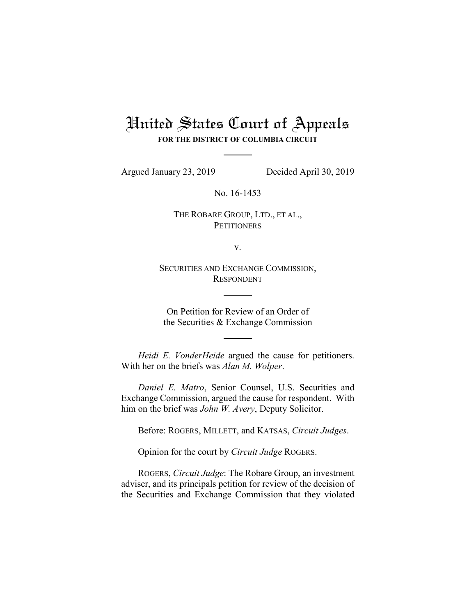# United States Court of Appeals

**FOR THE DISTRICT OF COLUMBIA CIRCUIT**

Argued January 23, 2019 Decided April 30, 2019

No. 16-1453

THE ROBARE GROUP, LTD., ET AL., **PETITIONERS** 

v.

SECURITIES AND EXCHANGE COMMISSION, RESPONDENT

On Petition for Review of an Order of the Securities & Exchange Commission

*Heidi E. VonderHeide* argued the cause for petitioners. With her on the briefs was *Alan M. Wolper*.

*Daniel E. Matro*, Senior Counsel, U.S. Securities and Exchange Commission, argued the cause for respondent. With him on the brief was *John W. Avery*, Deputy Solicitor.

Before: ROGERS, MILLETT, and KATSAS, *Circuit Judges*.

Opinion for the court by *Circuit Judge* ROGERS.

ROGERS, *Circuit Judge*: The Robare Group, an investment adviser, and its principals petition for review of the decision of the Securities and Exchange Commission that they violated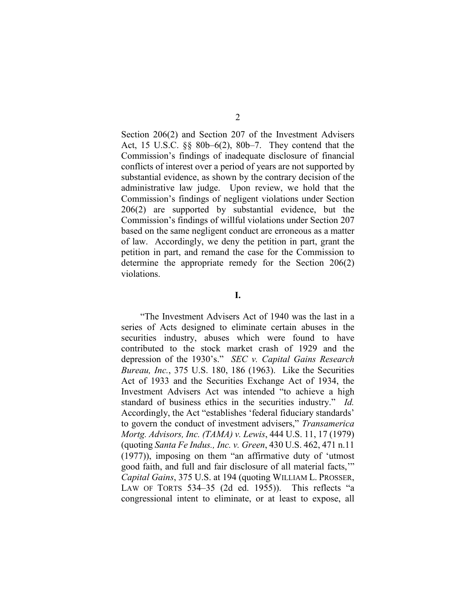Section 206(2) and Section 207 of the Investment Advisers Act, 15 U.S.C. §§ 80b–6(2), 80b–7. They contend that the Commission's findings of inadequate disclosure of financial conflicts of interest over a period of years are not supported by substantial evidence, as shown by the contrary decision of the administrative law judge. Upon review, we hold that the Commission's findings of negligent violations under Section 206(2) are supported by substantial evidence, but the Commission's findings of willful violations under Section 207 based on the same negligent conduct are erroneous as a matter of law. Accordingly, we deny the petition in part, grant the petition in part, and remand the case for the Commission to determine the appropriate remedy for the Section 206(2) violations.

# **I.**

"The Investment Advisers Act of 1940 was the last in a series of Acts designed to eliminate certain abuses in the securities industry, abuses which were found to have contributed to the stock market crash of 1929 and the depression of the 1930's." *SEC v. Capital Gains Research Bureau, Inc.*, 375 U.S. 180, 186 (1963). Like the Securities Act of 1933 and the Securities Exchange Act of 1934, the Investment Advisers Act was intended "to achieve a high standard of business ethics in the securities industry." *Id.* Accordingly, the Act "establishes 'federal fiduciary standards' to govern the conduct of investment advisers," *Transamerica Mortg. Advisors, Inc. (TAMA) v. Lewis*, 444 U.S. 11, 17 (1979) (quoting *Santa Fe Indus., Inc. v. Green*, 430 U.S. 462, 471 n.11 (1977)), imposing on them "an affirmative duty of 'utmost good faith, and full and fair disclosure of all material facts,'" *Capital Gains*, 375 U.S. at 194 (quoting WILLIAM L. PROSSER, LAW OF TORTS 534–35 (2d ed. 1955)). This reflects "a congressional intent to eliminate, or at least to expose, all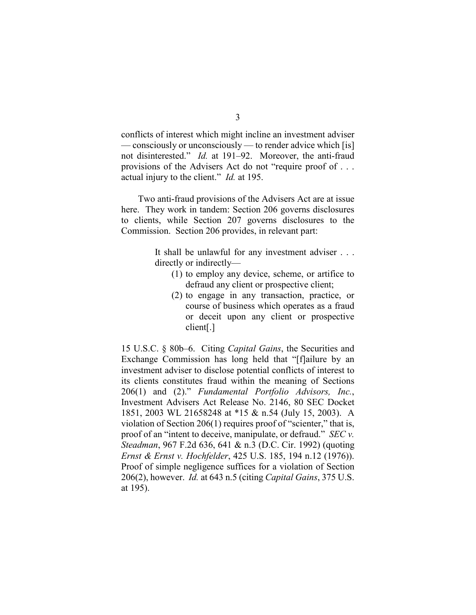conflicts of interest which might incline an investment adviser — consciously or unconsciously — to render advice which [is] not disinterested." *Id.* at 191–92. Moreover, the anti-fraud provisions of the Advisers Act do not "require proof of . . . actual injury to the client." *Id.* at 195.

Two anti-fraud provisions of the Advisers Act are at issue here. They work in tandem: Section 206 governs disclosures to clients, while Section 207 governs disclosures to the Commission. Section 206 provides, in relevant part:

> It shall be unlawful for any investment adviser . . . directly or indirectly—

- (1) to employ any device, scheme, or artifice to defraud any client or prospective client;
- (2) to engage in any transaction, practice, or course of business which operates as a fraud or deceit upon any client or prospective client[.]

15 U.S.C. § 80b–6. Citing *Capital Gains*, the Securities and Exchange Commission has long held that "[f]ailure by an investment adviser to disclose potential conflicts of interest to its clients constitutes fraud within the meaning of Sections 206(1) and (2)." *Fundamental Portfolio Advisors, Inc.*, Investment Advisers Act Release No. 2146, 80 SEC Docket 1851, 2003 WL 21658248 at \*15 & n.54 (July 15, 2003). A violation of Section 206(1) requires proof of "scienter," that is, proof of an "intent to deceive, manipulate, or defraud." *SEC v. Steadman*, 967 F.2d 636, 641 & n.3 (D.C. Cir. 1992) (quoting *Ernst & Ernst v. Hochfelder*, 425 U.S. 185, 194 n.12 (1976)). Proof of simple negligence suffices for a violation of Section 206(2), however. *Id.* at 643 n.5 (citing *Capital Gains*, 375 U.S. at 195).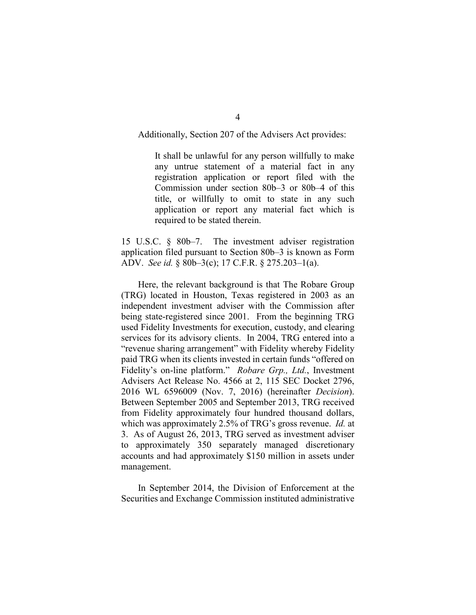## Additionally, Section 207 of the Advisers Act provides:

It shall be unlawful for any person willfully to make any untrue statement of a material fact in any registration application or report filed with the Commission under section 80b–3 or 80b–4 of this title, or willfully to omit to state in any such application or report any material fact which is required to be stated therein.

15 U.S.C. § 80b–7. The investment adviser registration application filed pursuant to Section 80b–3 is known as Form ADV. *See id.* § 80b–3(c); 17 C.F.R. § 275.203–1(a).

Here, the relevant background is that The Robare Group (TRG) located in Houston, Texas registered in 2003 as an independent investment adviser with the Commission after being state-registered since 2001. From the beginning TRG used Fidelity Investments for execution, custody, and clearing services for its advisory clients. In 2004, TRG entered into a "revenue sharing arrangement" with Fidelity whereby Fidelity paid TRG when its clients invested in certain funds "offered on Fidelity's on-line platform." *Robare Grp., Ltd.*, Investment Advisers Act Release No. 4566 at 2, 115 SEC Docket 2796, 2016 WL 6596009 (Nov. 7, 2016) (hereinafter *Decision*). Between September 2005 and September 2013, TRG received from Fidelity approximately four hundred thousand dollars, which was approximately 2.5% of TRG's gross revenue. *Id.* at 3. As of August 26, 2013, TRG served as investment adviser to approximately 350 separately managed discretionary accounts and had approximately \$150 million in assets under management.

In September 2014, the Division of Enforcement at the Securities and Exchange Commission instituted administrative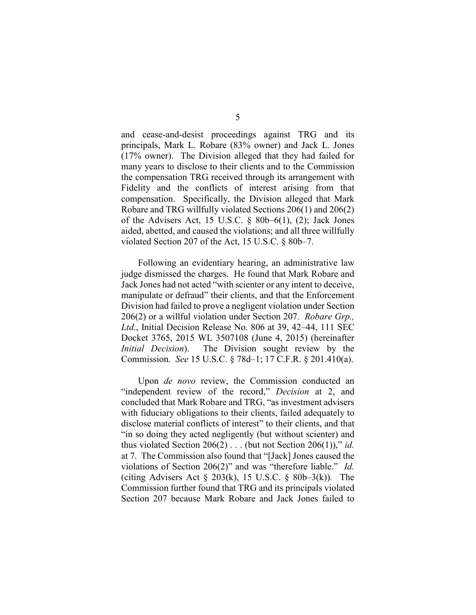and cease-and-desist proceedings against TRG and its principals, Mark L. Robare (83% owner) and Jack L. Jones (17% owner). The Division alleged that they had failed for many years to disclose to their clients and to the Commission the compensation TRG received through its arrangement with Fidelity and the conflicts of interest arising from that compensation. Specifically, the Division alleged that Mark Robare and TRG willfully violated Sections 206(1) and 206(2) of the Advisers Act, 15 U.S.C.  $\S$  80b–6(1), (2); Jack Jones aided, abetted, and caused the violations; and all three willfully violated Section 207 of the Act, 15 U.S.C. § 80b–7.

Following an evidentiary hearing, an administrative law judge dismissed the charges. He found that Mark Robare and Jack Jones had not acted "with scienter or any intent to deceive, manipulate or defraud" their clients, and that the Enforcement Division had failed to prove a negligent violation under Section 206(2) or a willful violation under Section 207. *Robare Grp., Ltd.*, Initial Decision Release No. 806 at 39, 42–44, 111 SEC Docket 3765, 2015 WL 3507108 (June 4, 2015) (hereinafter *Initial Decision*). The Division sought review by the Commission. *See* 15 U.S.C. § 78d–1; 17 C.F.R. § 201.410(a).

Upon *de novo* review, the Commission conducted an "independent review of the record," *Decision* at 2, and concluded that Mark Robare and TRG, "as investment advisers with fiduciary obligations to their clients, failed adequately to disclose material conflicts of interest" to their clients, and that "in so doing they acted negligently (but without scienter) and thus violated Section  $206(2)$ ... (but not Section  $206(1)$ )," *id.* at 7. The Commission also found that "[Jack] Jones caused the violations of Section 206(2)" and was "therefore liable." *Id.* (citing Advisers Act § 203(k), 15 U.S.C. § 80b–3(k))*.* The Commission further found that TRG and its principals violated Section 207 because Mark Robare and Jack Jones failed to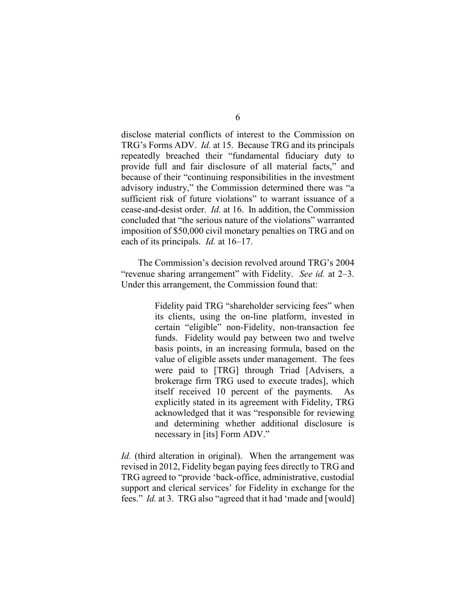disclose material conflicts of interest to the Commission on TRG's Forms ADV. *Id.* at 15. Because TRG and its principals repeatedly breached their "fundamental fiduciary duty to provide full and fair disclosure of all material facts," and because of their "continuing responsibilities in the investment advisory industry," the Commission determined there was "a sufficient risk of future violations" to warrant issuance of a cease-and-desist order. *Id.* at 16. In addition, the Commission concluded that "the serious nature of the violations" warranted imposition of \$50,000 civil monetary penalties on TRG and on each of its principals. *Id.* at 16–17.

The Commission's decision revolved around TRG's 2004 "revenue sharing arrangement" with Fidelity. *See id.* at 2–3. Under this arrangement, the Commission found that:

> Fidelity paid TRG "shareholder servicing fees" when its clients, using the on-line platform, invested in certain "eligible" non-Fidelity, non-transaction fee funds. Fidelity would pay between two and twelve basis points, in an increasing formula, based on the value of eligible assets under management. The fees were paid to [TRG] through Triad [Advisers, a brokerage firm TRG used to execute trades], which itself received 10 percent of the payments. As explicitly stated in its agreement with Fidelity, TRG acknowledged that it was "responsible for reviewing and determining whether additional disclosure is necessary in [its] Form ADV."

*Id.* (third alteration in original). When the arrangement was revised in 2012, Fidelity began paying fees directly to TRG and TRG agreed to "provide 'back-office, administrative, custodial support and clerical services' for Fidelity in exchange for the fees." *Id.* at 3. TRG also "agreed that it had 'made and [would]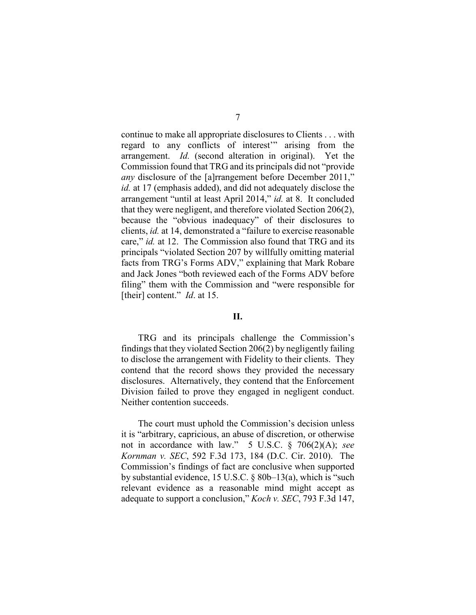continue to make all appropriate disclosures to Clients . . . with regard to any conflicts of interest'" arising from the arrangement. *Id.* (second alteration in original). Yet the Commission found that TRG and its principals did not "provide *any* disclosure of the [a]rrangement before December 2011," *id.* at 17 (emphasis added), and did not adequately disclose the arrangement "until at least April 2014," *id.* at 8. It concluded that they were negligent, and therefore violated Section 206(2), because the "obvious inadequacy" of their disclosures to clients, *id.* at 14, demonstrated a "failure to exercise reasonable care," *id.* at 12. The Commission also found that TRG and its principals "violated Section 207 by willfully omitting material facts from TRG's Forms ADV," explaining that Mark Robare and Jack Jones "both reviewed each of the Forms ADV before filing" them with the Commission and "were responsible for [their] content." *Id*. at 15.

#### **II.**

TRG and its principals challenge the Commission's findings that they violated Section  $206(2)$  by negligently failing to disclose the arrangement with Fidelity to their clients. They contend that the record shows they provided the necessary disclosures. Alternatively, they contend that the Enforcement Division failed to prove they engaged in negligent conduct. Neither contention succeeds.

The court must uphold the Commission's decision unless it is "arbitrary, capricious, an abuse of discretion, or otherwise not in accordance with law." 5 U.S.C. § 706(2)(A); *see Kornman v. SEC*, 592 F.3d 173, 184 (D.C. Cir. 2010). The Commission's findings of fact are conclusive when supported by substantial evidence, 15 U.S.C. § 80b–13(a), which is "such relevant evidence as a reasonable mind might accept as adequate to support a conclusion," *Koch v. SEC*, 793 F.3d 147,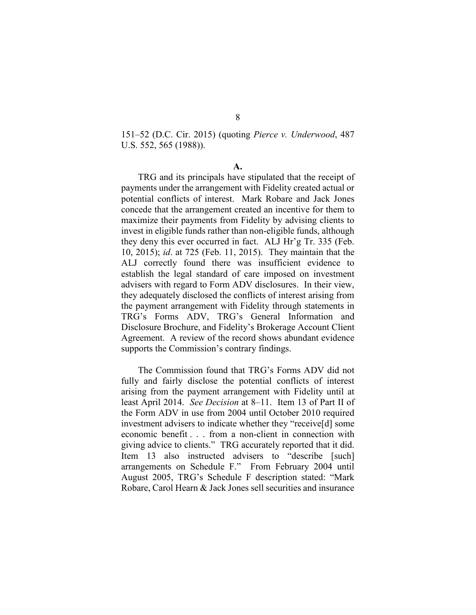151–52 (D.C. Cir. 2015) (quoting *Pierce v. Underwood*, 487 U.S. 552, 565 (1988)).

**A.**

TRG and its principals have stipulated that the receipt of payments under the arrangement with Fidelity created actual or potential conflicts of interest. Mark Robare and Jack Jones concede that the arrangement created an incentive for them to maximize their payments from Fidelity by advising clients to invest in eligible funds rather than non-eligible funds, although they deny this ever occurred in fact. ALJ Hr'g Tr. 335 (Feb. 10, 2015); *id*. at 725 (Feb. 11, 2015). They maintain that the ALJ correctly found there was insufficient evidence to establish the legal standard of care imposed on investment advisers with regard to Form ADV disclosures. In their view, they adequately disclosed the conflicts of interest arising from the payment arrangement with Fidelity through statements in TRG's Forms ADV, TRG's General Information and Disclosure Brochure, and Fidelity's Brokerage Account Client Agreement. A review of the record shows abundant evidence supports the Commission's contrary findings.

The Commission found that TRG's Forms ADV did not fully and fairly disclose the potential conflicts of interest arising from the payment arrangement with Fidelity until at least April 2014. *See Decision* at 8–11. Item 13 of Part II of the Form ADV in use from 2004 until October 2010 required investment advisers to indicate whether they "receive[d] some economic benefit . . . from a non-client in connection with giving advice to clients." TRG accurately reported that it did. Item 13 also instructed advisers to "describe [such] arrangements on Schedule F." From February 2004 until August 2005, TRG's Schedule F description stated: "Mark Robare, Carol Hearn & Jack Jones sell securities and insurance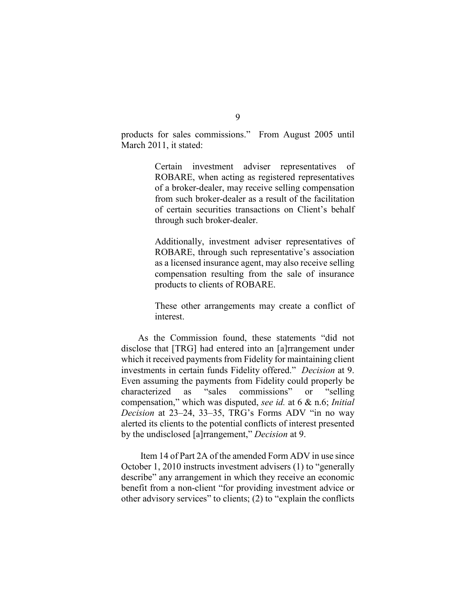products for sales commissions." From August 2005 until March 2011, it stated:

> Certain investment adviser representatives of ROBARE, when acting as registered representatives of a broker-dealer, may receive selling compensation from such broker-dealer as a result of the facilitation of certain securities transactions on Client's behalf through such broker-dealer.

> Additionally, investment adviser representatives of ROBARE, through such representative's association as a licensed insurance agent, may also receive selling compensation resulting from the sale of insurance products to clients of ROBARE.

> These other arrangements may create a conflict of interest.

As the Commission found, these statements "did not disclose that [TRG] had entered into an [a]rrangement under which it received payments from Fidelity for maintaining client investments in certain funds Fidelity offered." *Decision* at 9. Even assuming the payments from Fidelity could properly be characterized as "sales commissions" or "selling compensation," which was disputed, *see id.* at 6 & n.6; *Initial Decision* at 23–24, 33–35, TRG's Forms ADV "in no way alerted its clients to the potential conflicts of interest presented by the undisclosed [a]rrangement," *Decision* at 9.

Item 14 of Part 2A of the amended Form ADV in use since October 1, 2010 instructs investment advisers (1) to "generally describe" any arrangement in which they receive an economic benefit from a non-client "for providing investment advice or other advisory services" to clients; (2) to "explain the conflicts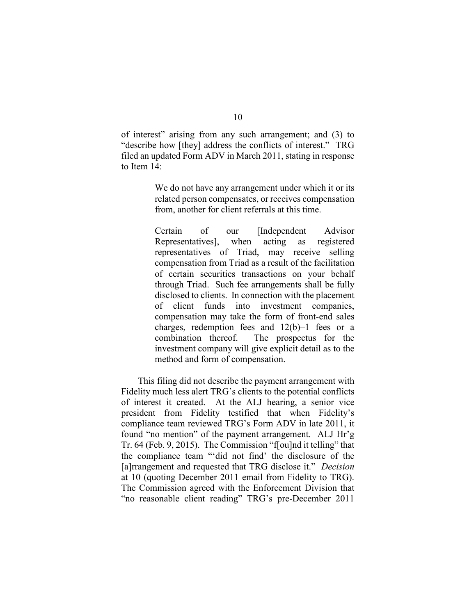of interest" arising from any such arrangement; and (3) to "describe how [they] address the conflicts of interest." TRG filed an updated Form ADV in March 2011, stating in response to Item 14:

> We do not have any arrangement under which it or its related person compensates, or receives compensation from, another for client referrals at this time.

> Certain of our [Independent Advisor Representatives], when acting as registered representatives of Triad, may receive selling compensation from Triad as a result of the facilitation of certain securities transactions on your behalf through Triad. Such fee arrangements shall be fully disclosed to clients. In connection with the placement of client funds into investment companies, compensation may take the form of front-end sales charges, redemption fees and 12(b)–1 fees or a combination thereof. The prospectus for the investment company will give explicit detail as to the method and form of compensation.

This filing did not describe the payment arrangement with Fidelity much less alert TRG's clients to the potential conflicts of interest it created. At the ALJ hearing, a senior vice president from Fidelity testified that when Fidelity's compliance team reviewed TRG's Form ADV in late 2011, it found "no mention" of the payment arrangement. ALJ Hr'g Tr. 64 (Feb. 9, 2015). The Commission "f[ou]nd it telling" that the compliance team "'did not find' the disclosure of the [a]rrangement and requested that TRG disclose it." *Decision* at 10 (quoting December 2011 email from Fidelity to TRG). The Commission agreed with the Enforcement Division that "no reasonable client reading" TRG's pre-December 2011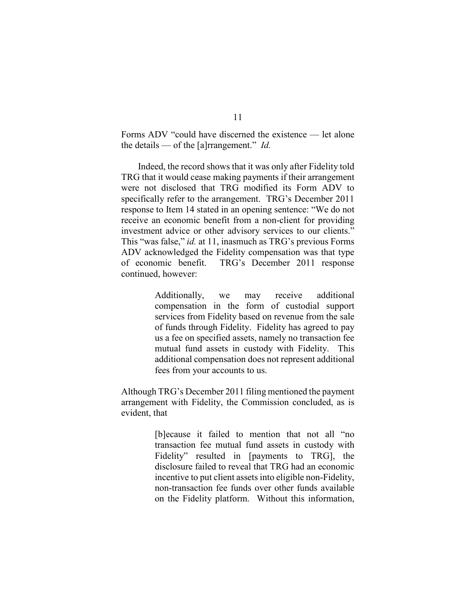Forms ADV "could have discerned the existence — let alone the details — of the [a]rrangement." *Id.*

Indeed, the record shows that it was only after Fidelity told TRG that it would cease making payments if their arrangement were not disclosed that TRG modified its Form ADV to specifically refer to the arrangement. TRG's December 2011 response to Item 14 stated in an opening sentence: "We do not receive an economic benefit from a non-client for providing investment advice or other advisory services to our clients." This "was false," *id.* at 11, inasmuch as TRG's previous Forms ADV acknowledged the Fidelity compensation was that type of economic benefit. TRG's December 2011 response continued, however:

> Additionally, we may receive additional compensation in the form of custodial support services from Fidelity based on revenue from the sale of funds through Fidelity. Fidelity has agreed to pay us a fee on specified assets, namely no transaction fee mutual fund assets in custody with Fidelity. This additional compensation does not represent additional fees from your accounts to us.

Although TRG's December 2011 filing mentioned the payment arrangement with Fidelity, the Commission concluded, as is evident, that

> [b]ecause it failed to mention that not all "no transaction fee mutual fund assets in custody with Fidelity" resulted in [payments to TRG], the disclosure failed to reveal that TRG had an economic incentive to put client assets into eligible non-Fidelity, non-transaction fee funds over other funds available on the Fidelity platform. Without this information,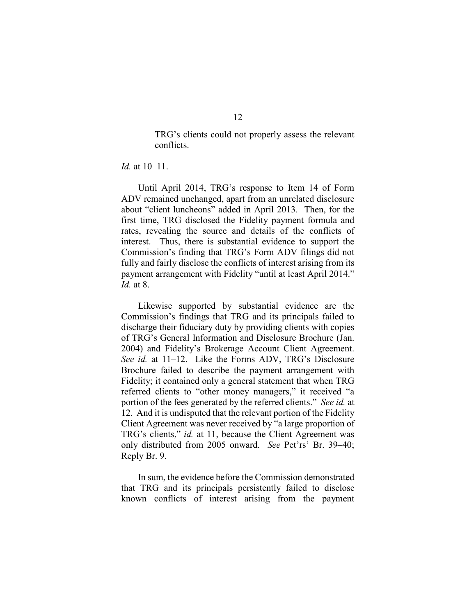TRG's clients could not properly assess the relevant conflicts.

## *Id.* at 10–11.

Until April 2014, TRG's response to Item 14 of Form ADV remained unchanged, apart from an unrelated disclosure about "client luncheons" added in April 2013. Then, for the first time, TRG disclosed the Fidelity payment formula and rates, revealing the source and details of the conflicts of interest. Thus, there is substantial evidence to support the Commission's finding that TRG's Form ADV filings did not fully and fairly disclose the conflicts of interest arising from its payment arrangement with Fidelity "until at least April 2014." *Id.* at 8.

Likewise supported by substantial evidence are the Commission's findings that TRG and its principals failed to discharge their fiduciary duty by providing clients with copies of TRG's General Information and Disclosure Brochure (Jan. 2004) and Fidelity's Brokerage Account Client Agreement. *See id.* at 11–12. Like the Forms ADV, TRG's Disclosure Brochure failed to describe the payment arrangement with Fidelity; it contained only a general statement that when TRG referred clients to "other money managers," it received "a portion of the fees generated by the referred clients." *See id.* at 12. And it is undisputed that the relevant portion of the Fidelity Client Agreement was never received by "a large proportion of TRG's clients," *id.* at 11, because the Client Agreement was only distributed from 2005 onward. *See* Pet'rs' Br. 39–40; Reply Br. 9.

In sum, the evidence before the Commission demonstrated that TRG and its principals persistently failed to disclose known conflicts of interest arising from the payment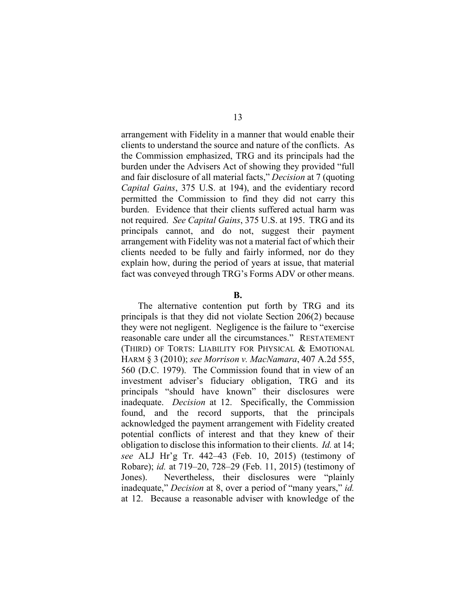arrangement with Fidelity in a manner that would enable their clients to understand the source and nature of the conflicts. As the Commission emphasized, TRG and its principals had the burden under the Advisers Act of showing they provided "full and fair disclosure of all material facts," *Decision* at 7 (quoting *Capital Gains*, 375 U.S. at 194), and the evidentiary record permitted the Commission to find they did not carry this burden. Evidence that their clients suffered actual harm was not required. *See Capital Gains*, 375 U.S. at 195. TRG and its principals cannot, and do not, suggest their payment arrangement with Fidelity was not a material fact of which their clients needed to be fully and fairly informed, nor do they explain how, during the period of years at issue, that material fact was conveyed through TRG's Forms ADV or other means.

#### **B.**

The alternative contention put forth by TRG and its principals is that they did not violate Section 206(2) because they were not negligent. Negligence is the failure to "exercise reasonable care under all the circumstances." RESTATEMENT (THIRD) OF TORTS: LIABILITY FOR PHYSICAL & EMOTIONAL HARM § 3 (2010); *see Morrison v. MacNamara*, 407 A.2d 555, 560 (D.C. 1979). The Commission found that in view of an investment adviser's fiduciary obligation, TRG and its principals "should have known" their disclosures were inadequate. *Decision* at 12. Specifically, the Commission found, and the record supports, that the principals acknowledged the payment arrangement with Fidelity created potential conflicts of interest and that they knew of their obligation to disclose this information to their clients. *Id.* at 14; *see* ALJ Hr'g Tr. 442–43 (Feb. 10, 2015) (testimony of Robare); *id.* at 719–20, 728–29 (Feb. 11, 2015) (testimony of Jones). Nevertheless, their disclosures were "plainly inadequate," *Decision* at 8, over a period of "many years," *id.* at 12. Because a reasonable adviser with knowledge of the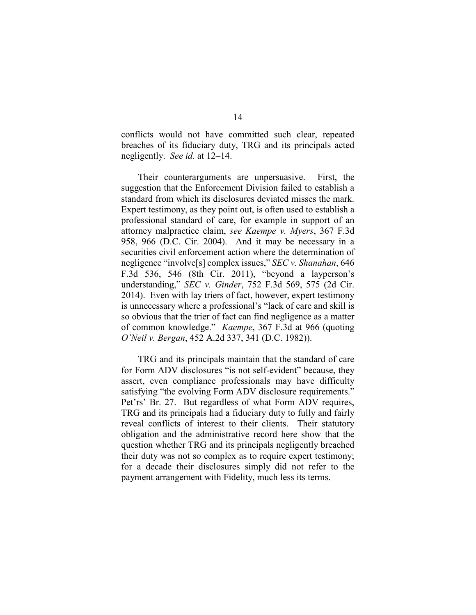conflicts would not have committed such clear, repeated breaches of its fiduciary duty, TRG and its principals acted negligently. *See id.* at 12–14.

Their counterarguments are unpersuasive. First, the suggestion that the Enforcement Division failed to establish a standard from which its disclosures deviated misses the mark. Expert testimony, as they point out, is often used to establish a professional standard of care, for example in support of an attorney malpractice claim, *see Kaempe v. Myers*, 367 F.3d 958, 966 (D.C. Cir. 2004). And it may be necessary in a securities civil enforcement action where the determination of negligence "involve[s] complex issues," *SEC v. Shanahan*, 646 F.3d 536, 546 (8th Cir. 2011), "beyond a layperson's understanding," *SEC v. Ginder*, 752 F.3d 569, 575 (2d Cir. 2014). Even with lay triers of fact, however, expert testimony is unnecessary where a professional's "lack of care and skill is so obvious that the trier of fact can find negligence as a matter of common knowledge." *Kaempe*, 367 F.3d at 966 (quoting *O'Neil v. Bergan*, 452 A.2d 337, 341 (D.C. 1982)).

TRG and its principals maintain that the standard of care for Form ADV disclosures "is not self-evident" because, they assert, even compliance professionals may have difficulty satisfying "the evolving Form ADV disclosure requirements." Pet'rs' Br. 27. But regardless of what Form ADV requires, TRG and its principals had a fiduciary duty to fully and fairly reveal conflicts of interest to their clients. Their statutory obligation and the administrative record here show that the question whether TRG and its principals negligently breached their duty was not so complex as to require expert testimony; for a decade their disclosures simply did not refer to the payment arrangement with Fidelity, much less its terms.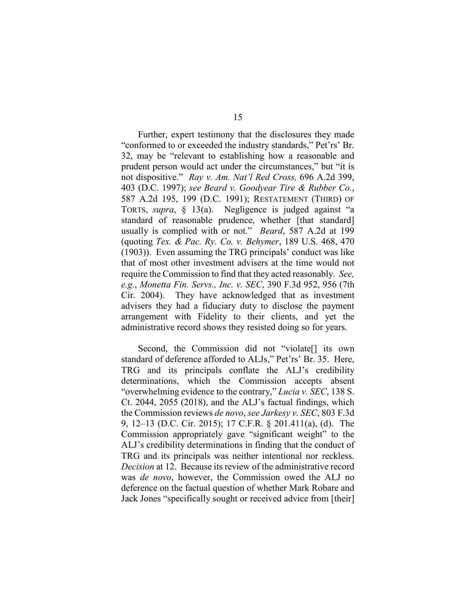Further, expert testimony that the disclosures they made "conformed to or exceeded the industry standards," Pet'rs' Br. 32, may be "relevant to establishing how a reasonable and prudent person would act under the circumstances," but "it is not dispositive." *Ray v. Am. Nat'l Red Cross,* 696 A.2d 399, 403 (D.C. 1997); *see Beard v. Goodyear Tire & Rubber Co.*, 587 A.2d 195, 199 (D.C. 1991); RESTATEMENT (THIRD) OF TORTS, *supra*, § 13(a). Negligence is judged against "a standard of reasonable prudence, whether [that standard] usually is complied with or not." *Beard*, 587 A.2d at 199 (quoting *Tex. & Pac. Ry. Co. v. Behymer*, 189 U.S. 468, 470 (1903)). Even assuming the TRG principals' conduct was like that of most other investment advisers at the time would not require the Commission to find that they acted reasonably. *See, e.g.*, *Monetta Fin. Servs., Inc. v. SEC*, 390 F.3d 952, 956 (7th Cir. 2004). They have acknowledged that as investment advisers they had a fiduciary duty to disclose the payment arrangement with Fidelity to their clients, and yet the administrative record shows they resisted doing so for years.

Second, the Commission did not "violate[] its own standard of deference afforded to ALJs," Pet'rs' Br. 35. Here, TRG and its principals conflate the ALJ's credibility determinations, which the Commission accepts absent "overwhelming evidence to the contrary," *Lucia v. SEC*, 138 S. Ct. 2044, 2055 (2018), and the ALJ's factual findings, which the Commission reviews *de novo*, *see Jarkesy v. SEC*, 803 F.3d 9, 12–13 (D.C. Cir. 2015); 17 C.F.R. § 201.411(a), (d). The Commission appropriately gave "significant weight" to the ALJ's credibility determinations in finding that the conduct of TRG and its principals was neither intentional nor reckless. *Decision* at 12. Because its review of the administrative record was *de novo*, however, the Commission owed the ALJ no deference on the factual question of whether Mark Robare and Jack Jones "specifically sought or received advice from [their]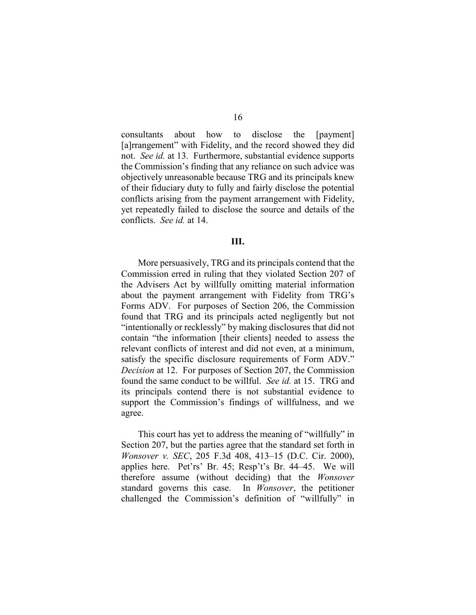consultants about how to disclose the [payment] [a]rrangement" with Fidelity, and the record showed they did not. *See id.* at 13. Furthermore, substantial evidence supports the Commission's finding that any reliance on such advice was objectively unreasonable because TRG and its principals knew of their fiduciary duty to fully and fairly disclose the potential conflicts arising from the payment arrangement with Fidelity, yet repeatedly failed to disclose the source and details of the conflicts. *See id.* at 14.

#### **III.**

More persuasively, TRG and its principals contend that the Commission erred in ruling that they violated Section 207 of the Advisers Act by willfully omitting material information about the payment arrangement with Fidelity from TRG's Forms ADV. For purposes of Section 206, the Commission found that TRG and its principals acted negligently but not "intentionally or recklessly" by making disclosures that did not contain "the information [their clients] needed to assess the relevant conflicts of interest and did not even, at a minimum, satisfy the specific disclosure requirements of Form ADV." *Decision* at 12. For purposes of Section 207, the Commission found the same conduct to be willful. *See id.* at 15. TRG and its principals contend there is not substantial evidence to support the Commission's findings of willfulness, and we agree.

This court has yet to address the meaning of "willfully" in Section 207, but the parties agree that the standard set forth in *Wonsover v. SEC*, 205 F.3d 408, 413–15 (D.C. Cir. 2000), applies here. Pet'rs' Br. 45; Resp't's Br. 44–45. We will therefore assume (without deciding) that the *Wonsover* standard governs this case. In *Wonsover*, the petitioner challenged the Commission's definition of "willfully" in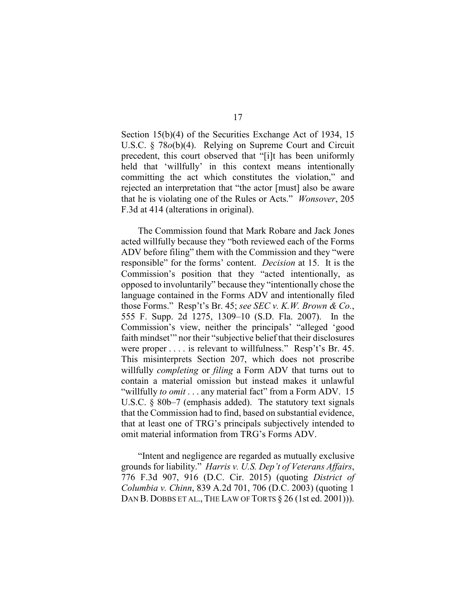Section 15(b)(4) of the Securities Exchange Act of 1934, 15 U.S.C. § 78*o*(b)(4). Relying on Supreme Court and Circuit precedent, this court observed that "[i]t has been uniformly held that 'willfully' in this context means intentionally committing the act which constitutes the violation," and rejected an interpretation that "the actor [must] also be aware that he is violating one of the Rules or Acts." *Wonsover*, 205 F.3d at 414 (alterations in original).

The Commission found that Mark Robare and Jack Jones acted willfully because they "both reviewed each of the Forms ADV before filing" them with the Commission and they "were responsible" for the forms' content. *Decision* at 15. It is the Commission's position that they "acted intentionally, as opposed to involuntarily" because they "intentionally chose the language contained in the Forms ADV and intentionally filed those Forms." Resp't's Br. 45; *see SEC v. K.W. Brown & Co.*, 555 F. Supp. 2d 1275, 1309–10 (S.D. Fla. 2007). In the Commission's view, neither the principals' "alleged 'good faith mindset'" nor their "subjective belief that their disclosures were proper . . . . is relevant to willfulness." Resp't's Br. 45. This misinterprets Section 207, which does not proscribe willfully *completing* or *filing* a Form ADV that turns out to contain a material omission but instead makes it unlawful "willfully *to omit* . . . any material fact" from a Form ADV. 15 U.S.C. § 80b–7 (emphasis added). The statutory text signals that the Commission had to find, based on substantial evidence, that at least one of TRG's principals subjectively intended to omit material information from TRG's Forms ADV.

"Intent and negligence are regarded as mutually exclusive grounds for liability." *Harris v. U.S. Dep't of Veterans Affairs*, 776 F.3d 907, 916 (D.C. Cir. 2015) (quoting *District of Columbia v. Chinn*, 839 A.2d 701, 706 (D.C. 2003) (quoting 1 DAN B. DOBBS ET AL., THE LAW OF TORTS  $\S 26$  (1st ed. 2001)).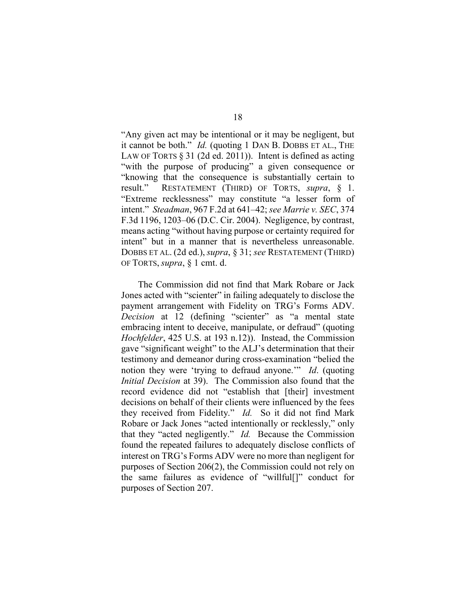"Any given act may be intentional or it may be negligent, but it cannot be both." *Id.* (quoting 1 DAN B. DOBBS ET AL., THE LAW OF TORTS § 31 (2d ed. 2011)). Intent is defined as acting "with the purpose of producing" a given consequence or "knowing that the consequence is substantially certain to result." RESTATEMENT (THIRD) OF TORTS, *supra*, § 1. "Extreme recklessness" may constitute "a lesser form of intent." *Steadman*, 967 F.2d at 641–42; *see Marrie v. SEC*, 374 F.3d 1196, 1203–06 (D.C. Cir. 2004). Negligence, by contrast, means acting "without having purpose or certainty required for intent" but in a manner that is nevertheless unreasonable. DOBBS ET AL. (2d ed.), *supra*, § 31; *see* RESTATEMENT (THIRD) OF TORTS, *supra*, § 1 cmt. d.

The Commission did not find that Mark Robare or Jack Jones acted with "scienter" in failing adequately to disclose the payment arrangement with Fidelity on TRG's Forms ADV. *Decision* at 12 (defining "scienter" as "a mental state embracing intent to deceive, manipulate, or defraud" (quoting *Hochfelder*, 425 U.S. at 193 n.12)). Instead, the Commission gave "significant weight" to the ALJ's determination that their testimony and demeanor during cross-examination "belied the notion they were 'trying to defraud anyone.'" *Id*. (quoting *Initial Decision* at 39). The Commission also found that the record evidence did not "establish that [their] investment decisions on behalf of their clients were influenced by the fees they received from Fidelity." *Id.* So it did not find Mark Robare or Jack Jones "acted intentionally or recklessly," only that they "acted negligently." *Id.* Because the Commission found the repeated failures to adequately disclose conflicts of interest on TRG's Forms ADV were no more than negligent for purposes of Section 206(2), the Commission could not rely on the same failures as evidence of "willful[]" conduct for purposes of Section 207.